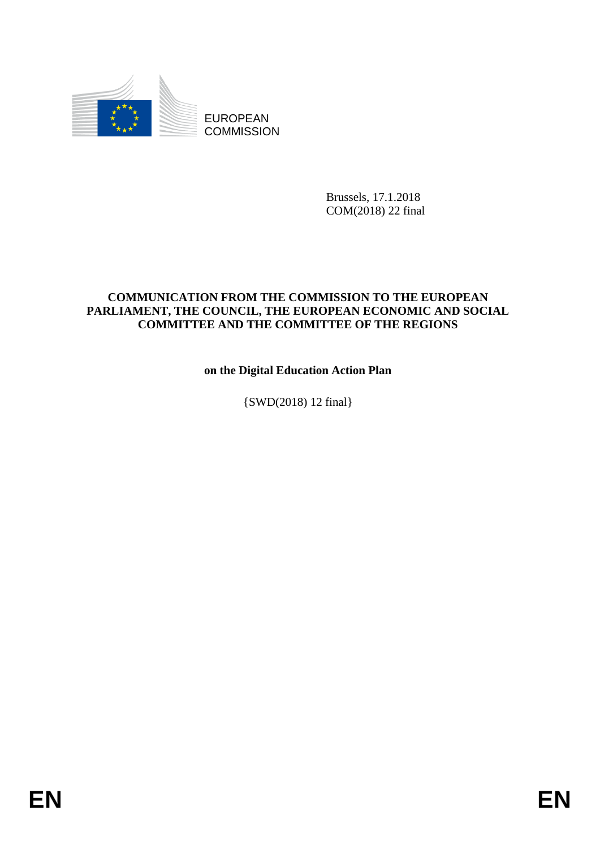

**COMMISSION** 

Brussels, 17.1.2018 COM(2018) 22 final

## **COMMUNICATION FROM THE COMMISSION TO THE EUROPEAN PARLIAMENT, THE COUNCIL, THE EUROPEAN ECONOMIC AND SOCIAL COMMITTEE AND THE COMMITTEE OF THE REGIONS**

**on the Digital Education Action Plan**

{SWD(2018) 12 final}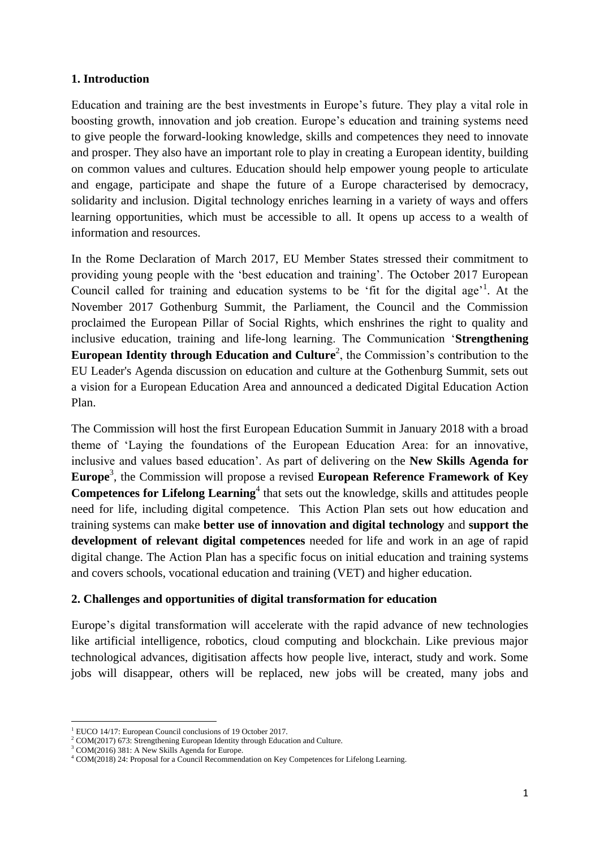## **1. Introduction**

Education and training are the best investments in Europe's future. They play a vital role in boosting growth, innovation and job creation. Europe's education and training systems need to give people the forward-looking knowledge, skills and competences they need to innovate and prosper. They also have an important role to play in creating a European identity, building on common values and cultures. Education should help empower young people to articulate and engage, participate and shape the future of a Europe characterised by democracy, solidarity and inclusion. Digital technology enriches learning in a variety of ways and offers learning opportunities, which must be accessible to all. It opens up access to a wealth of information and resources.

In the Rome Declaration of March 2017, EU Member States stressed their commitment to providing young people with the 'best education and training'. The October 2017 European Council called for training and education systems to be 'fit for the digital age'<sup>1</sup>. At the November 2017 Gothenburg Summit, the Parliament, the Council and the Commission proclaimed the European Pillar of Social Rights, which enshrines the right to quality and inclusive education, training and life-long learning. The Communication '**Strengthening European Identity through Education and Culture**<sup>2</sup>, the Commission's contribution to the EU Leader's Agenda discussion on education and culture at the Gothenburg Summit, sets out a vision for a European Education Area and announced a dedicated Digital Education Action Plan.

The Commission will host the first European Education Summit in January 2018 with a broad theme of 'Laying the foundations of the European Education Area: for an innovative, inclusive and values based education'. As part of delivering on the **New Skills Agenda for Europe**<sup>3</sup> , the Commission will propose a revised **European Reference Framework of Key Competences for Lifelong Learning**<sup>4</sup> that sets out the knowledge, skills and attitudes people need for life, including digital competence. This Action Plan sets out how education and training systems can make **better use of innovation and digital technology** and **support the development of relevant digital competences** needed for life and work in an age of rapid digital change. The Action Plan has a specific focus on initial education and training systems and covers schools, vocational education and training (VET) and higher education.

#### **2. Challenges and opportunities of digital transformation for education**

Europe's digital transformation will accelerate with the rapid advance of new technologies like artificial intelligence, robotics, cloud computing and blockchain. Like previous major technological advances, digitisation affects how people live, interact, study and work. Some jobs will disappear, others will be replaced, new jobs will be created, many jobs and

**<sup>.</sup>** <sup>1</sup> EUCO 14/17: European Council conclusions of 19 October 2017.

<sup>&</sup>lt;sup>2</sup> [COM\(2017\)](https://ec.europa.eu/commission/sites/beta-political/files/communication-strengthening-european-identity-education-culture_en.pdf) 673: Strengthening European Identity through Education and Culture.

<sup>&</sup>lt;sup>3</sup> COM(2016) 381: A New Skills Agenda for Europe.

<sup>4</sup> COM(2018) 24: Proposal for a Council Recommendation on Key Competences for Lifelong Learning.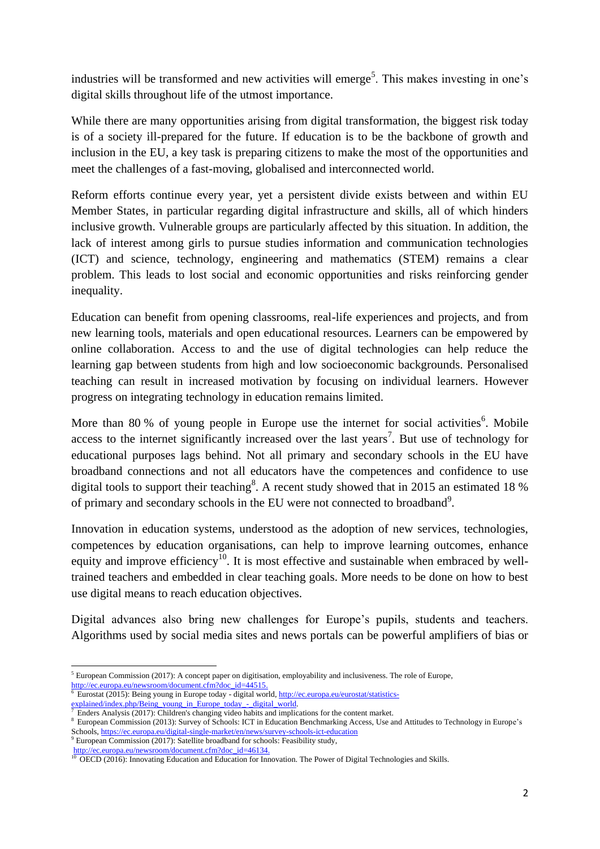industries will be transformed and new activities will emerge<sup>5</sup>. This makes investing in one's digital skills throughout life of the utmost importance.

While there are many opportunities arising from digital transformation, the biggest risk today is of a society ill-prepared for the future. If education is to be the backbone of growth and inclusion in the EU, a key task is preparing citizens to make the most of the opportunities and meet the challenges of a fast-moving, globalised and interconnected world.

Reform efforts continue every year, yet a persistent divide exists between and within EU Member States, in particular regarding digital infrastructure and skills, all of which hinders inclusive growth. Vulnerable groups are particularly affected by this situation. In addition, the lack of interest among girls to pursue studies information and communication technologies (ICT) and science, technology, engineering and mathematics (STEM) remains a clear problem. This leads to lost social and economic opportunities and risks reinforcing gender inequality.

Education can benefit from opening classrooms, real-life experiences and projects, and from new learning tools, materials and open educational resources. Learners can be empowered by online collaboration. Access to and the use of digital technologies can help reduce the learning gap between students from high and low socioeconomic backgrounds. Personalised teaching can result in increased motivation by focusing on individual learners. However progress on integrating technology in education remains limited.

More than 80 % of young people in Europe use the internet for social activities<sup>6</sup>. Mobile access to the internet significantly increased over the last years<sup>7</sup>. But use of technology for educational purposes lags behind. Not all primary and secondary schools in the EU have broadband connections and not all educators have the competences and confidence to use digital tools to support their teaching<sup>8</sup>. A recent study showed that in 2015 an estimated 18 % of primary and secondary schools in the EU were not connected to broadband<sup>9</sup>.

Innovation in education systems, understood as the adoption of new services, technologies, competences by education organisations, can help to improve learning outcomes, enhance equity and improve efficiency<sup>10</sup>. It is most effective and sustainable when embraced by welltrained teachers and embedded in clear teaching goals. More needs to be done on how to best use digital means to reach education objectives.

Digital advances also bring new challenges for Europe's pupils, students and teachers. Algorithms used by social media sites and news portals can be powerful amplifiers of bias or

<sup>1</sup> <sup>5</sup> European Commission (2017): A concept paper on digitisation, employability and inclusiveness. The role of Europe, [http://ec.europa.eu/newsroom/document.cfm?doc\\_id=44515.](http://ec.europa.eu/newsroom/document.cfm?doc_id=44515)

<sup>6</sup> Eurostat (2015): Being young in Europe today - digital world, [http://ec.europa.eu/eurostat/statistics-](http://ec.europa.eu/eurostat/statistics-explained/index.php/Being_young_in_Europe_today_-_digital_world)

[explained/index.php/Being\\_young\\_in\\_Europe\\_today\\_-\\_digital\\_world.](http://ec.europa.eu/eurostat/statistics-explained/index.php/Being_young_in_Europe_today_-_digital_world)

<sup>7</sup> Enders Analysis (2017): Children's changing video habits and implications for the content market.

<sup>8</sup> European Commission (2013): Survey of Schools: ICT in Education Benchmarking Access, Use and Attitudes to Technology in Europe's Schools[, https://ec.europa.eu/digital-single-market/en/news/survey-schools-ict-education](https://ec.europa.eu/digital-single-market/en/news/survey-schools-ict-education)

 $9^9$  European Commission (2017): Satellite broadband for schools: Feasibility study,

[http://ec.europa.eu/newsroom/document.cfm?doc\\_id=46134.](http://ec.europa.eu/newsroom/document.cfm?doc_id=46134)  $10$  OECD (2016): Innovating Education and Education for Innovation. The Power of Digital Technologies and Skills.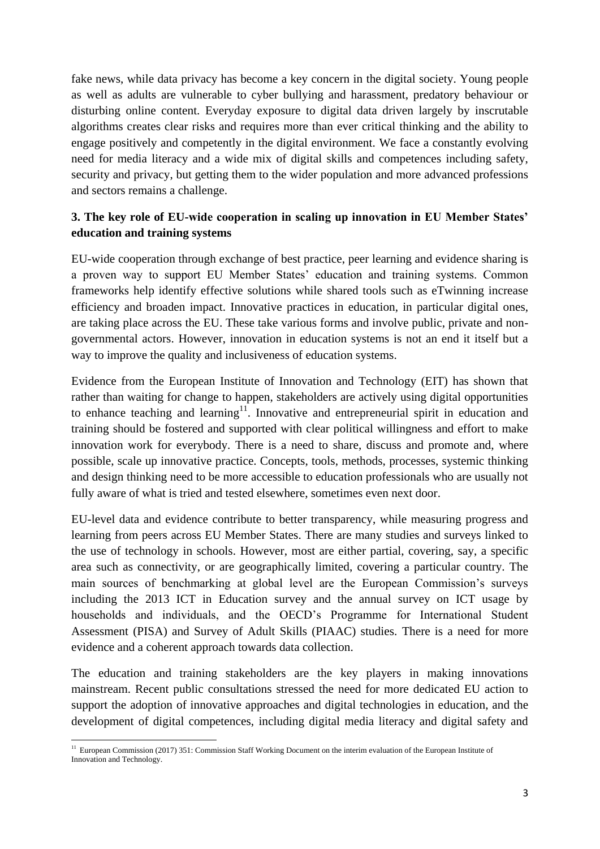fake news, while data privacy has become a key concern in the digital society. Young people as well as adults are vulnerable to cyber bullying and harassment, predatory behaviour or disturbing online content. Everyday exposure to digital data driven largely by inscrutable algorithms creates clear risks and requires more than ever critical thinking and the ability to engage positively and competently in the digital environment. We face a constantly evolving need for media literacy and a wide mix of digital skills and competences including safety, security and privacy, but getting them to the wider population and more advanced professions and sectors remains a challenge.

# **3. The key role of EU-wide cooperation in scaling up innovation in EU Member States' education and training systems**

EU-wide cooperation through exchange of best practice, peer learning and evidence sharing is a proven way to support EU Member States' education and training systems. Common frameworks help identify effective solutions while shared tools such as eTwinning increase efficiency and broaden impact. Innovative practices in education, in particular digital ones, are taking place across the EU. These take various forms and involve public, private and nongovernmental actors. However, innovation in education systems is not an end it itself but a way to improve the quality and inclusiveness of education systems.

Evidence from the European Institute of Innovation and Technology (EIT) has shown that rather than waiting for change to happen, stakeholders are actively using digital opportunities to enhance teaching and learning<sup>11</sup>. Innovative and entrepreneurial spirit in education and training should be fostered and supported with clear political willingness and effort to make innovation work for everybody. There is a need to share, discuss and promote and, where possible, scale up innovative practice. Concepts, tools, methods, processes, systemic thinking and design thinking need to be more accessible to education professionals who are usually not fully aware of what is tried and tested elsewhere, sometimes even next door.

EU-level data and evidence contribute to better transparency, while measuring progress and learning from peers across EU Member States. There are many studies and surveys linked to the use of technology in schools. However, most are either partial, covering, say, a specific area such as connectivity, or are geographically limited, covering a particular country. The main sources of benchmarking at global level are the European Commission's surveys including the 2013 ICT in Education survey and the annual survey on ICT usage by households and individuals, and the OECD's Programme for International Student Assessment (PISA) and Survey of Adult Skills (PIAAC) studies. There is a need for more evidence and a coherent approach towards data collection.

The education and training stakeholders are the key players in making innovations mainstream. Recent public consultations stressed the need for more dedicated EU action to support the adoption of innovative approaches and digital technologies in education, and the development of digital competences, including digital media literacy and digital safety and

**<sup>.</sup>** <sup>11</sup> European Commission (2017) 351: Commission Staff Working Document on the interim evaluation of the European Institute of Innovation and Technology.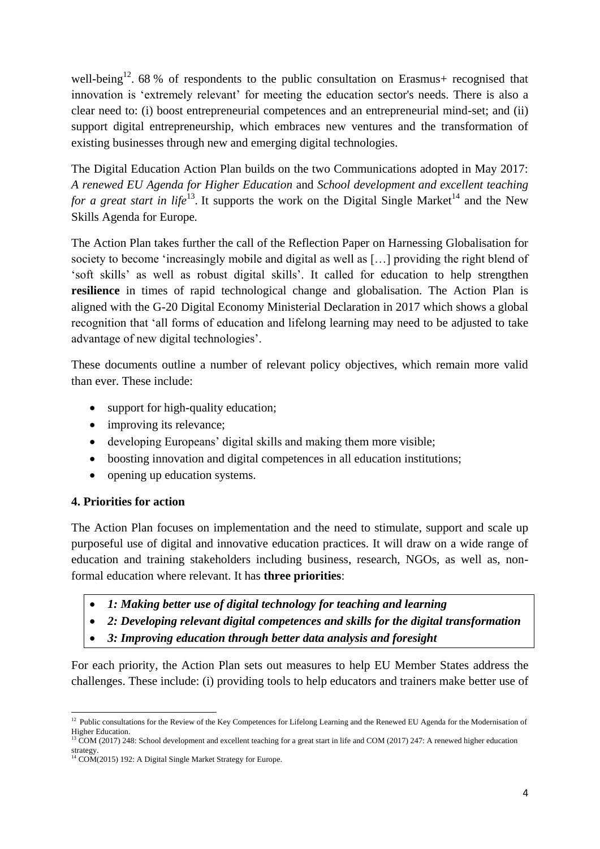well-being<sup>12</sup>. 68 % of respondents to the public consultation on Erasmus+ recognised that innovation is 'extremely relevant' for meeting the education sector's needs. There is also a clear need to: (i) boost entrepreneurial competences and an entrepreneurial mind-set; and (ii) support digital entrepreneurship, which embraces new ventures and the transformation of existing businesses through new and emerging digital technologies.

The Digital Education Action Plan builds on the two Communications adopted in May 2017: *A renewed EU Agenda for Higher Education* and *School development and excellent teaching for a great start in life*<sup>13</sup>. It supports the work on the Digital Single Market<sup>14</sup> and the New Skills Agenda for Europe*.*

The Action Plan takes further the call of the Reflection Paper on Harnessing Globalisation for society to become 'increasingly mobile and digital as well as […] providing the right blend of 'soft skills' as well as robust digital skills'. It called for education to help strengthen **resilience** in times of rapid technological change and globalisation. The Action Plan is aligned with the G-20 Digital Economy Ministerial Declaration in 2017 which shows a global recognition that 'all forms of education and lifelong learning may need to be adjusted to take advantage of new digital technologies'.

These documents outline a number of relevant policy objectives, which remain more valid than ever. These include:

- support for high-quality education;
- improving its relevance;
- developing Europeans' digital skills and making them more visible;
- boosting innovation and digital competences in all education institutions;
- opening up education systems.

# **4. Priorities for action**

The Action Plan focuses on implementation and the need to stimulate, support and scale up purposeful use of digital and innovative education practices. It will draw on a wide range of education and training stakeholders including business, research, NGOs, as well as, nonformal education where relevant. It has **three priorities**:

- *1: Making better use of digital technology for teaching and learning*
- *2: Developing relevant digital competences and skills for the digital transformation*
- *3: Improving education through better data analysis and foresight*

For each priority, the Action Plan sets out measures to help EU Member States address the challenges. These include: (i) providing tools to help educators and trainers make better use of

<sup>1</sup> <sup>12</sup> Public consultations for the Review of the Key Competences for Lifelong Learning and the Renewed EU Agenda for the Modernisation of Higher Education.

<sup>&</sup>lt;sup>13</sup> COM (2017) 248[: School development and excellent teaching for a great start in life a](http://eur-lex.europa.eu/legal-content/AUTO/?uri=COM:2017:248:FIN&qid=1496304694958&rid=1)nd COM (2017) 247: A renewed higher education strategy.

<sup>&</sup>lt;sup>14</sup> COM(2015) 192: A Digital Single Market Strategy for Europe.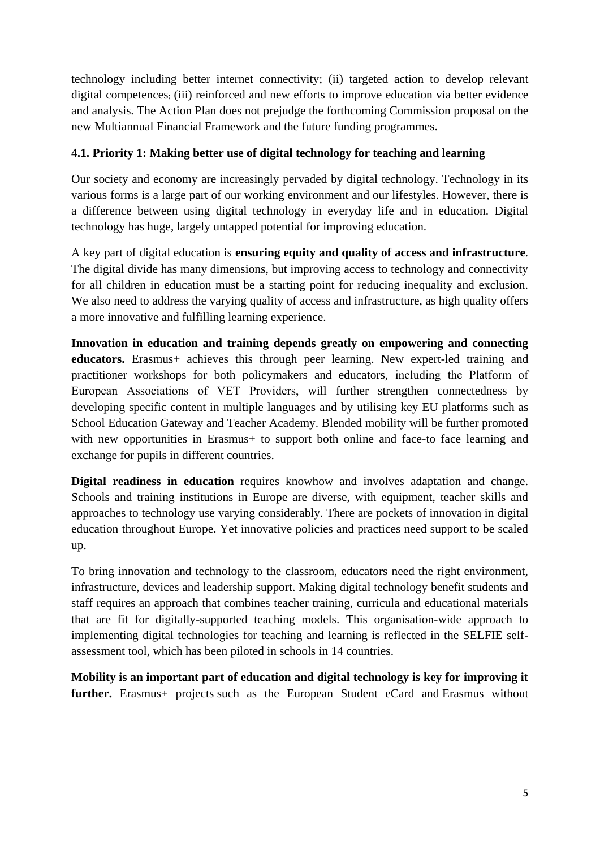technology including better internet connectivity; (ii) targeted action to develop relevant digital competences; (iii) reinforced and new efforts to improve education via better evidence and analysis. The Action Plan does not prejudge the forthcoming Commission proposal on the new Multiannual Financial Framework and the future funding programmes.

# **4.1. Priority 1: Making better use of digital technology for teaching and learning**

Our society and economy are increasingly pervaded by digital technology. Technology in its various forms is a large part of our working environment and our lifestyles. However, there is a difference between using digital technology in everyday life and in education. Digital technology has huge, largely untapped potential for improving education.

A key part of digital education is **ensuring equity and quality of access and infrastructure***.*  The digital divide has many dimensions, but improving access to technology and connectivity for all children in education must be a starting point for reducing inequality and exclusion. We also need to address the varying quality of access and infrastructure, as high quality offers a more innovative and fulfilling learning experience.

**Innovation in education and training depends greatly on empowering and connecting educators.** Erasmus+ achieves this through peer learning. New expert-led training and practitioner workshops for both policymakers and educators, including the Platform of European Associations of VET Providers, will further strengthen connectedness by developing specific content in multiple languages and by utilising key EU platforms such as School Education Gateway and Teacher Academy. Blended mobility will be further promoted with new opportunities in Erasmus+ to support both online and face-to face learning and exchange for pupils in different countries.

**Digital readiness in education** requires knowhow and involves adaptation and change. Schools and training institutions in Europe are diverse, with equipment, teacher skills and approaches to technology use varying considerably. There are pockets of innovation in digital education throughout Europe. Yet innovative policies and practices need support to be scaled up.

To bring innovation and technology to the classroom, educators need the right environment, infrastructure, devices and leadership support. Making digital technology benefit students and staff requires an approach that combines teacher training, curricula and educational materials that are fit for digitally-supported teaching models. This organisation-wide approach to implementing digital technologies for teaching and learning is reflected in the SELFIE selfassessment tool, which has been piloted in schools in 14 countries.

**Mobility is an important part of education and digital technology is key for improving it**  further. Erasmus+ projects such as the European Student eCard and Erasmus without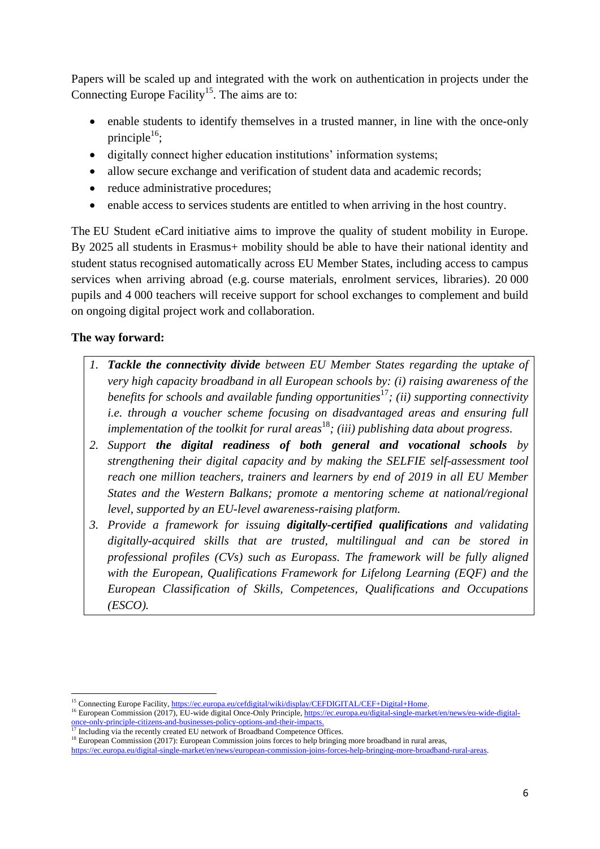Papers will be scaled up and integrated with the work on authentication in projects under the Connecting Europe Facility<sup>15</sup>. The aims are to:

- enable students to identify themselves in a trusted manner, in line with the once-only principle<sup>16</sup>;
- digitally connect higher education institutions' information systems;
- allow secure exchange and verification of student data and academic records;
- reduce administrative procedures;
- enable access to services students are entitled to when arriving in the host country.

The EU Student eCard initiative aims to improve the quality of student mobility in Europe. By 2025 all students in Erasmus+ mobility should be able to have their national identity and student status recognised automatically across EU Member States, including access to campus services when arriving abroad (e.g. course materials, enrolment services, libraries). 20 000 pupils and 4 000 teachers will receive support for school exchanges to complement and build on ongoing digital project work and collaboration.

# **The way forward:**

- *1. Tackle the connectivity divide between EU Member States regarding the uptake of very high capacity broadband in all European schools by: (i) raising awareness of the benefits for schools and available funding opportunities*<sup>17</sup>*; (ii) supporting connectivity i.e. through a voucher scheme focusing on disadvantaged areas and ensuring full implementation of the toolkit for rural areas*<sup>18</sup>*; (iii) publishing data about progress.*
- *2. Support the digital readiness of both general and vocational schools by strengthening their digital capacity and by making the SELFIE self-assessment tool reach one million teachers, trainers and learners by end of 2019 in all EU Member States and the Western Balkans; promote a mentoring scheme at national/regional level, supported by an EU-level awareness-raising platform.*
- *3. Provide a framework for issuing digitally-certified qualifications and validating digitally-acquired skills that are trusted, multilingual and can be stored in professional profiles (CVs) such as Europass. The framework will be fully aligned with the European, Qualifications Framework for Lifelong Learning (EQF) and the European Classification of Skills, Competences, Qualifications and Occupations (ESCO).*

**<sup>.</sup>** <sup>15</sup> Connecting Europe Facility[, https://ec.europa.eu/cefdigital/wiki/display/CEFDIGITAL/CEF+Digital+Home.](https://ec.europa.eu/cefdigital/wiki/display/CEFDIGITAL/CEF+Digital+Home)

<sup>&</sup>lt;sup>16</sup> European Commission (2017), EU-wide digital Once-Only Principle[, https://ec.europa.eu/digital-single-market/en/news/eu-wide-digital](https://ec.europa.eu/digital-single-market/en/news/eu-wide-digital-once-only-principle-citizens-and-businesses-policy-options-and-their-impacts)[once-only-principle-citizens-and-businesses-policy-options-and-their-impacts.](https://ec.europa.eu/digital-single-market/en/news/eu-wide-digital-once-only-principle-citizens-and-businesses-policy-options-and-their-impacts) 

<sup>&</sup>lt;sup>17</sup> Including via the recently created EU network of Broadband Competence Offices.

<sup>&</sup>lt;sup>18</sup> European Commission (2017): European Commission joins forces to help bringing more broadband in rural areas,

[https://ec.europa.eu/digital-single-market/en/news/european-commission-joins-forces-help-bringing-more-broadband-rural-areas.](https://ec.europa.eu/digital-single-market/en/news/european-commission-joins-forces-help-bringing-more-broadband-rural-areas)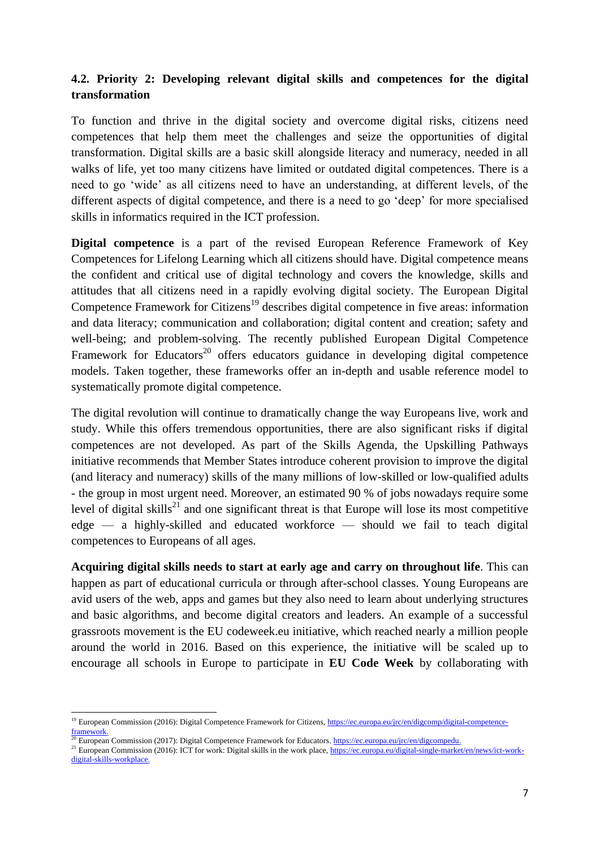# **4.2. Priority 2: Developing relevant digital skills and competences for the digital transformation**

To function and thrive in the digital society and overcome digital risks, citizens need competences that help them meet the challenges and seize the opportunities of digital transformation. Digital skills are a basic skill alongside literacy and numeracy, needed in all walks of life, yet too many citizens have limited or outdated digital competences. There is a need to go 'wide' as all citizens need to have an understanding, at different levels, of the different aspects of digital competence, and there is a need to go 'deep' for more specialised skills in informatics required in the ICT profession.

**Digital competence** is a part of the revised European Reference Framework of Key Competences for Lifelong Learning which all citizens should have. Digital competence means the confident and critical use of digital technology and covers the knowledge, skills and attitudes that all citizens need in a rapidly evolving digital society. The European Digital Competence Framework for Citizens<sup>19</sup> describes digital competence in five areas: information and data literacy; communication and collaboration; digital content and creation; safety and well-being; and problem-solving. The recently published European Digital Competence Framework for Educators<sup>20</sup> offers educators guidance in developing digital competence models. Taken together, these frameworks offer an in-depth and usable reference model to systematically promote digital competence.

The digital revolution will continue to dramatically change the way Europeans live, work and study. While this offers tremendous opportunities, there are also significant risks if digital competences are not developed. As part of the Skills Agenda, the Upskilling Pathways initiative recommends that Member States introduce coherent provision to improve the digital (and literacy and numeracy) skills of the many millions of low-skilled or low-qualified adults - the group in most urgent need. Moreover, an estimated 90 % of jobs nowadays require some level of digital skills<sup>21</sup> and one significant threat is that Europe will lose its most competitive edge — a highly-skilled and educated workforce — should we fail to teach digital competences to Europeans of all ages.

**Acquiring digital skills needs to start at early age and carry on throughout life**. This can happen as part of educational curricula or through after-school classes. Young Europeans are avid users of the web, apps and games but they also need to learn about underlying structures and basic algorithms, and become digital creators and leaders. An example of a successful grassroots movement is the EU codeweek.eu initiative, which reached nearly a million people around the world in 2016. Based on this experience, the initiative will be scaled up to encourage all schools in Europe to participate in **EU Code Week** by collaborating with

<sup>1</sup> <sup>19</sup> European Commission (2016): Digital Competence Framework for Citizens, [https://ec.europa.eu/jrc/en/digcomp/digital-competence](https://ec.europa.eu/jrc/en/digcomp/digital-competence-framework)[framework.](https://ec.europa.eu/jrc/en/digcomp/digital-competence-framework) 

<sup>&</sup>lt;sup>2</sup> European Commission (2017): Digital Competence Framework for Educators, [https://ec.europa.eu/jrc/en/digcompedu.](https://ec.europa.eu/jrc/en/digcompedu)

<sup>&</sup>lt;sup>21</sup> European Commission (2016): ICT for work: Digital skills in the work place, [https://ec.europa.eu/digital-single-market/en/news/ict-work](https://ec.europa.eu/digital-single-market/en/news/ict-work-digital-skills-workplace)[digital-skills-workplace.](https://ec.europa.eu/digital-single-market/en/news/ict-work-digital-skills-workplace)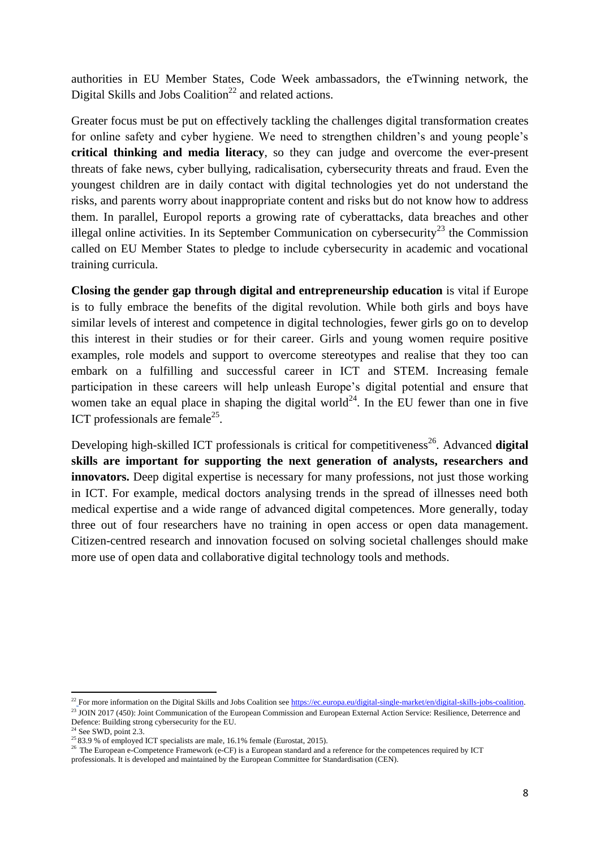authorities in EU Member States, Code Week ambassadors, the eTwinning network, the Digital Skills and Jobs Coalition<sup>22</sup> and related actions.

Greater focus must be put on effectively tackling the challenges digital transformation creates for online safety and cyber hygiene. We need to strengthen children's and young people's **critical thinking and media literacy**, so they can judge and overcome the ever-present threats of fake news, cyber bullying, radicalisation, cybersecurity threats and fraud. Even the youngest children are in daily contact with digital technologies yet do not understand the risks, and parents worry about inappropriate content and risks but do not know how to address them. In parallel, Europol reports a growing rate of cyberattacks, data breaches and other illegal online activities. In its September Communication on cybersecurity<sup>23</sup> the Commission called on EU Member States to pledge to include cybersecurity in academic and vocational training curricula.

**Closing the gender gap through digital and entrepreneurship education** is vital if Europe is to fully embrace the benefits of the digital revolution. While both girls and boys have similar levels of interest and competence in digital technologies, fewer girls go on to develop this interest in their studies or for their career. Girls and young women require positive examples, role models and support to overcome stereotypes and realise that they too can embark on a fulfilling and successful career in ICT and STEM. Increasing female participation in these careers will help unleash Europe's digital potential and ensure that women take an equal place in shaping the digital world<sup>24</sup>. In the EU fewer than one in five ICT professionals are female<sup>25</sup>.

Developing high-skilled ICT professionals is critical for competitiveness<sup>26</sup>. Advanced **digital skills are important for supporting the next generation of analysts, researchers and innovators.** Deep digital expertise is necessary for many professions, not just those working in ICT. For example, medical doctors analysing trends in the spread of illnesses need both medical expertise and a wide range of advanced digital competences. More generally, today three out of four researchers have no training in open access or open data management. Citizen-centred research and innovation focused on solving societal challenges should make more use of open data and collaborative digital technology tools and methods.

1

<sup>&</sup>lt;sup>22</sup> For more information on the Digital Skills and Jobs Coalition see https://ec.europa.eu/digital-single-market/en/digital-skills-jobs-coalition. <sup>23</sup> JOIN 2017 (450): Joint Communication of the European Commission and European External Action Service: Resilience, Deterrence and

Defence: Building strong cybersecurity for the EU.

 $24$  See SWD, point 2.3.

<sup>&</sup>lt;sup>25</sup> 83.9 % of employed ICT specialists are male,  $16.1\%$  female (Eurostat, 2015).

<sup>&</sup>lt;sup>26</sup> Th[e European e-Competence Framework](http://www.ecompetences.eu/) (e-CF) is a European standard and a reference for the competences required by ICT professionals. It is developed and maintained by the [European Committee for Standardisation](https://standards.cen.eu/dyn/www/f?p=204:7:0::::FSP_ORG_ID:1218399&cs=1600F0DD849DA04F3E3B900863CB58F72) (CEN).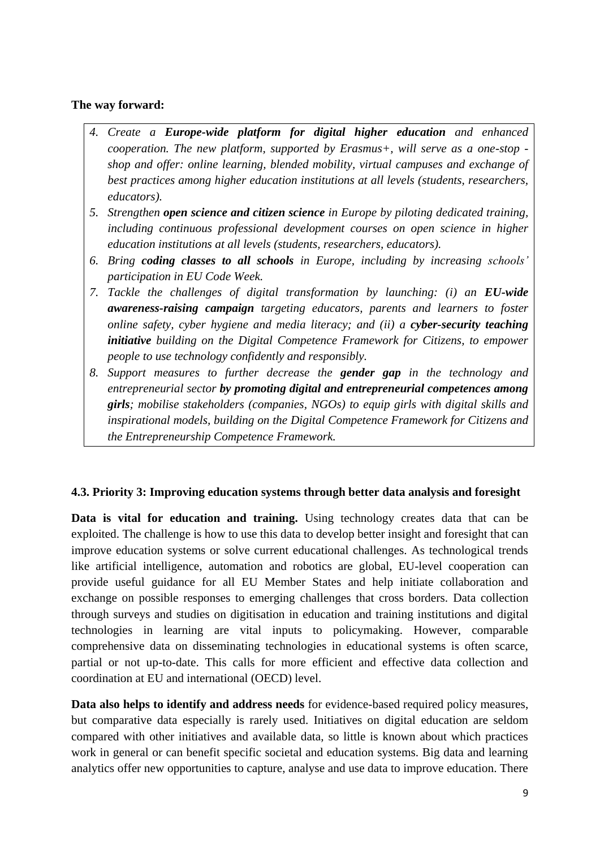## **The way forward:**

- *4. Create a Europe-wide platform for digital higher education and enhanced cooperation. The new platform, supported by Erasmus+, will serve as a one-stop shop and offer: online learning, blended mobility, virtual campuses and exchange of best practices among higher education institutions at all levels (students, researchers, educators).*
- *5. Strengthen open science and citizen science in Europe by piloting dedicated training, including continuous professional development courses on open science in higher education institutions at all levels (students, researchers, educators).*
- *6. Bring coding classes to all schools in Europe, including by increasing schools' participation in EU Code Week.*
- *7. Tackle the challenges of digital transformation by launching: (i) an EU-wide awareness-raising campaign targeting educators, parents and learners to foster online safety, cyber hygiene and media literacy; and (ii) a cyber-security teaching initiative building on the Digital Competence Framework for Citizens, to empower people to use technology confidently and responsibly.*
- *8. Support measures to further decrease the gender gap in the technology and entrepreneurial sector by promoting digital and entrepreneurial competences among girls; mobilise stakeholders (companies, NGOs) to equip girls with digital skills and inspirational models, building on the Digital Competence Framework for Citizens and the Entrepreneurship Competence Framework.*

# **4.3. Priority 3: Improving education systems through better data analysis and foresight**

**Data is vital for education and training.** Using technology creates data that can be exploited. The challenge is how to use this data to develop better insight and foresight that can improve education systems or solve current educational challenges. As technological trends like artificial intelligence, automation and robotics are global, EU-level cooperation can provide useful guidance for all EU Member States and help initiate collaboration and exchange on possible responses to emerging challenges that cross borders. Data collection through surveys and studies on digitisation in education and training institutions and digital technologies in learning are vital inputs to policymaking. However, comparable comprehensive data on disseminating technologies in educational systems is often scarce, partial or not up-to-date. This calls for more efficient and effective data collection and coordination at EU and international (OECD) level.

**Data also helps to identify and address needs** for evidence-based required policy measures, but comparative data especially is rarely used. Initiatives on digital education are seldom compared with other initiatives and available data, so little is known about which practices work in general or can benefit specific societal and education systems. Big data and learning analytics offer new opportunities to capture, analyse and use data to improve education. There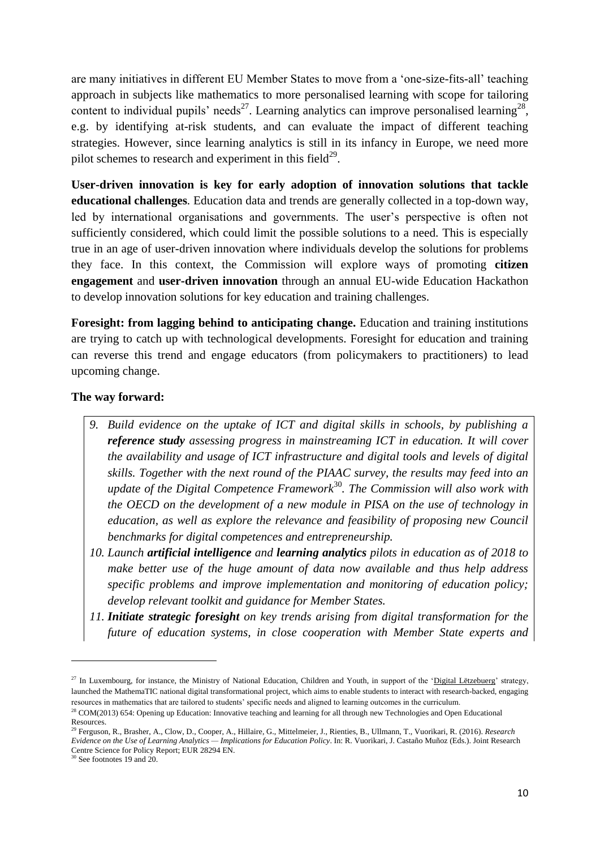are many initiatives in different EU Member States to move from a 'one-size-fits-all' teaching approach in subjects like mathematics to more personalised learning with scope for tailoring content to individual pupils' needs<sup>27</sup>. Learning analytics can improve personalised learning<sup>28</sup>, e.g. by identifying at-risk students, and can evaluate the impact of different teaching strategies. However, since learning analytics is still in its infancy in Europe, we need more pilot schemes to research and experiment in this field $^{29}$ .

**User-driven innovation is key for early adoption of innovation solutions that tackle educational challenges***.* Education data and trends are generally collected in a top-down way, led by international organisations and governments. The user's perspective is often not sufficiently considered, which could limit the possible solutions to a need. This is especially true in an age of user-driven innovation where individuals develop the solutions for problems they face. In this context, the Commission will explore ways of promoting **citizen engagement** and **user-driven innovation** through an annual EU-wide Education Hackathon to develop innovation solutions for key education and training challenges.

**Foresight: from lagging behind to anticipating change.** Education and training institutions are trying to catch up with technological developments. Foresight for education and training can reverse this trend and engage educators (from policymakers to practitioners) to lead upcoming change.

#### **The way forward:**

- *9. Build evidence on the uptake of ICT and digital skills in schools, by publishing a reference study assessing progress in mainstreaming ICT in education. It will cover the availability and usage of ICT infrastructure and digital tools and levels of digital skills. Together with the next round of the PIAAC survey, the results may feed into an update of the Digital Competence Framework*<sup>30</sup>*. The Commission will also work with the OECD on the development of a new module in PISA on the use of technology in education, as well as explore the relevance and feasibility of proposing new Council benchmarks for digital competences and entrepreneurship.*
- *10. Launch artificial intelligence and learning analytics pilots in education as of 2018 to make better use of the huge amount of data now available and thus help address specific problems and improve implementation and monitoring of education policy; develop relevant toolkit and guidance for Member States.*
- *11. Initiate strategic foresight on key trends arising from digital transformation for the future of education systems, in close cooperation with Member State experts and*

1

<sup>&</sup>lt;sup>27</sup> In Luxembourg, for instance, the Ministry of National Education, Children and Youth, in support of the ['Digital Lëtzebuerg'](http://www.ftthcouncil.eu/documents/Interviews/20152909_InterviewXavierBettel_FTTHCE.pdf) strategy, launched the MathemaTIC national digital transformational project, which aims to enable students to interact with research-backed, engaging resources in mathematics that are tailored to students' specific needs and aligned to learning outcomes in the curriculum.

<sup>&</sup>lt;sup>28</sup> COM(2013) 654: Opening up Education: Innovative teaching and learning for all through new Technologies and Open Educational Resources.

<sup>29</sup> Ferguson, R., Brasher, A., Clow, D., Cooper, A., Hillaire, G., Mittelmeier, J., Rienties, B., Ullmann, T., Vuorikari, R. (2016). *Research Evidence on the Use of Learning Analytics — Implications for Education Policy*. In: R. Vuorikari, J. Castaño Muñoz (Eds.). Joint Research Centre Science for Policy Report; EUR 28294 EN.

<sup>30</sup> [See](https://ec.europa.eu/jrc/en/digcomp/digital-competence-framework) footnotes 19 and 20.